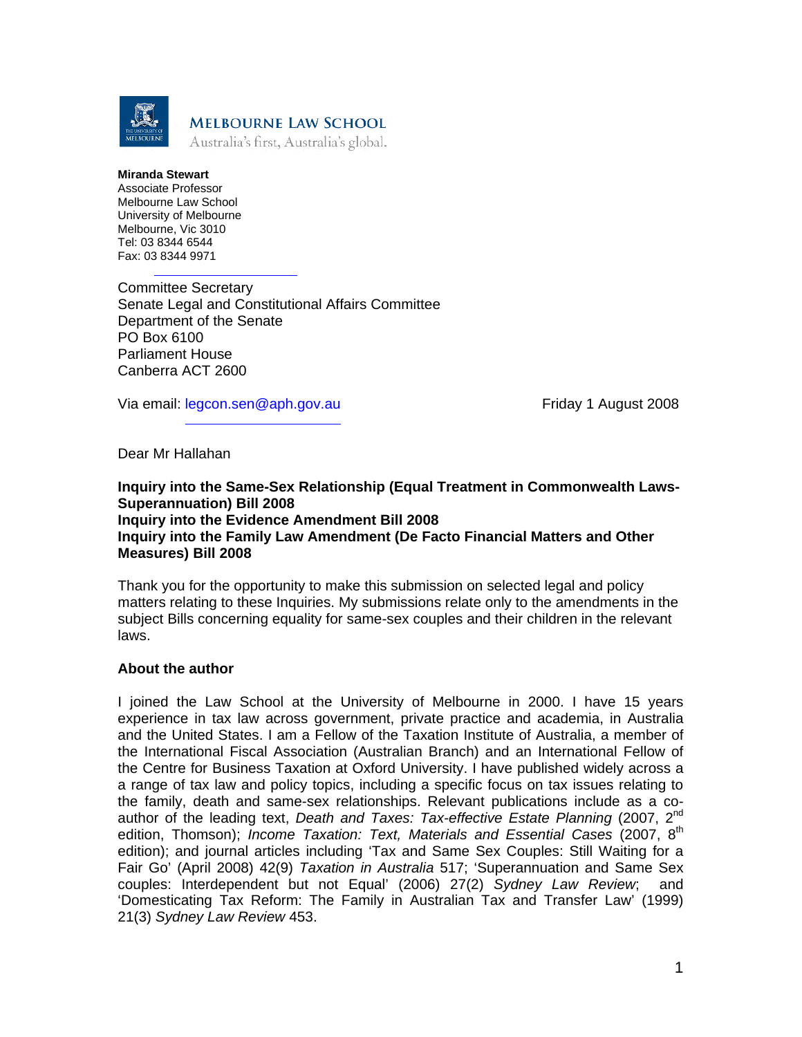

#### **Miranda Stewart**  Associate Professor Melbourne Law School University of Melbourne Melbourne, Vic 3010 Tel: 03 8344 6544 Fax: 03 8344 9971

Committee Secretary Senate Legal and Constitutional Affairs Committee Department of the Senate PO Box 6100 Parliament House Canberra ACT 2600

Via email: legcon.sen@aph.gov.au Friday 1 August 2008

Dear Mr Hallahan

# **Inquiry into the Same-Sex Relationship (Equal Treatment in Commonwealth Laws-Superannuation) Bill 2008 Inquiry into the Evidence Amendment Bill 2008 Inquiry into the Family Law Amendment (De Facto Financial Matters and Other Measures) Bill 2008**

Thank you for the opportunity to make this submission on selected legal and policy matters relating to these Inquiries. My submissions relate only to the amendments in the subject Bills concerning equality for same-sex couples and their children in the relevant laws.

# **About the author**

I joined the Law School at the University of Melbourne in 2000. I have 15 years experience in tax law across government, private practice and academia, in Australia and the United States. I am a Fellow of the Taxation Institute of Australia, a member of the International Fiscal Association (Australian Branch) and an International Fellow of the Centre for Business Taxation at Oxford University. I have published widely across a a range of tax law and policy topics, including a specific focus on tax issues relating to the family, death and same-sex relationships. Relevant publications include as a coauthor of the leading text, *Death and Taxes: Tax-effective Estate Planning* (2007, 2nd edition, Thomson); *Income Taxation: Text, Materials and Essential Cases* (2007, 8<sup>th</sup> edition); and journal articles including 'Tax and Same Sex Couples: Still Waiting for a Fair Go' (April 2008) 42(9) *Taxation in Australia* 517; 'Superannuation and Same Sex couples: Interdependent but not Equal' (2006) 27(2) *Sydney Law Review*; and 'Domesticating Tax Reform: The Family in Australian Tax and Transfer Law' (1999) 21(3) *Sydney Law Review* 453.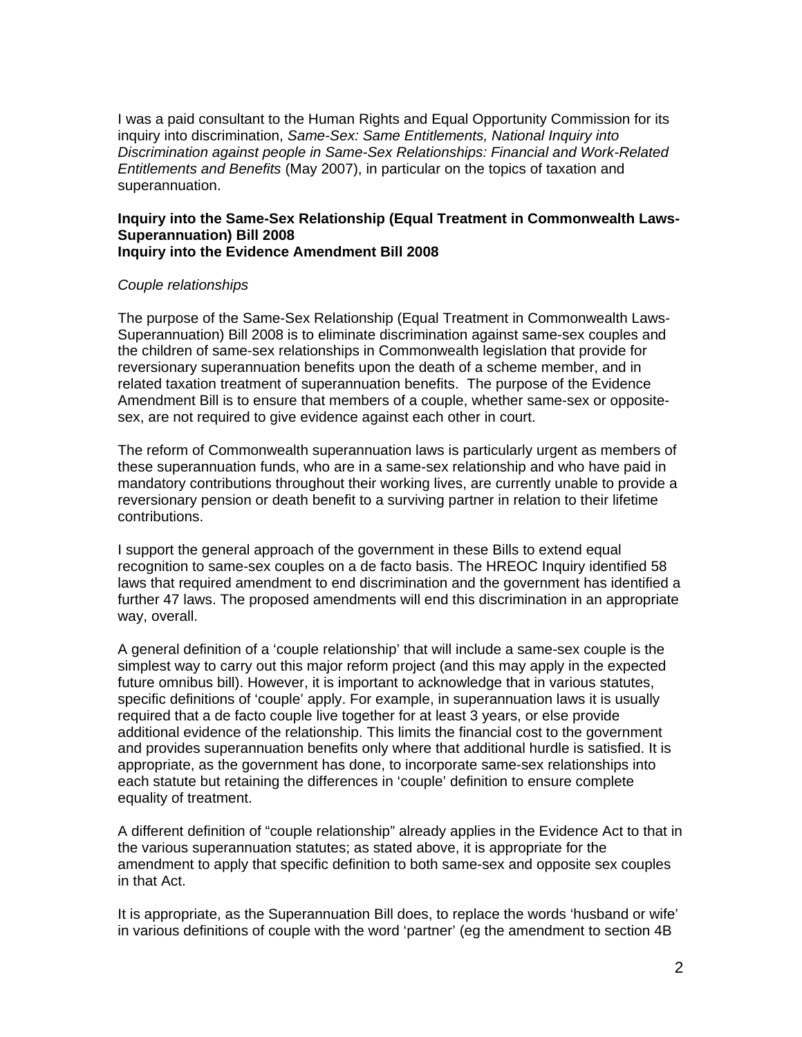I was a paid consultant to the Human Rights and Equal Opportunity Commission for its inquiry into discrimination, *Same-Sex: Same Entitlements, National Inquiry into Discrimination against people in Same-Sex Relationships: Financial and Work-Related Entitlements and Benefits* (May 2007), in particular on the topics of taxation and superannuation.

### **Inquiry into the Same-Sex Relationship (Equal Treatment in Commonwealth Laws-Superannuation) Bill 2008 Inquiry into the Evidence Amendment Bill 2008**

### *Couple relationships*

The purpose of the Same-Sex Relationship (Equal Treatment in Commonwealth Laws-Superannuation) Bill 2008 is to eliminate discrimination against same-sex couples and the children of same-sex relationships in Commonwealth legislation that provide for reversionary superannuation benefits upon the death of a scheme member, and in related taxation treatment of superannuation benefits. The purpose of the Evidence Amendment Bill is to ensure that members of a couple, whether same-sex or oppositesex, are not required to give evidence against each other in court.

The reform of Commonwealth superannuation laws is particularly urgent as members of these superannuation funds, who are in a same-sex relationship and who have paid in mandatory contributions throughout their working lives, are currently unable to provide a reversionary pension or death benefit to a surviving partner in relation to their lifetime contributions.

I support the general approach of the government in these Bills to extend equal recognition to same-sex couples on a de facto basis. The HREOC Inquiry identified 58 laws that required amendment to end discrimination and the government has identified a further 47 laws. The proposed amendments will end this discrimination in an appropriate way, overall.

A general definition of a 'couple relationship' that will include a same-sex couple is the simplest way to carry out this major reform project (and this may apply in the expected future omnibus bill). However, it is important to acknowledge that in various statutes, specific definitions of 'couple' apply. For example, in superannuation laws it is usually required that a de facto couple live together for at least 3 years, or else provide additional evidence of the relationship. This limits the financial cost to the government and provides superannuation benefits only where that additional hurdle is satisfied. It is appropriate, as the government has done, to incorporate same-sex relationships into each statute but retaining the differences in 'couple' definition to ensure complete equality of treatment.

A different definition of "couple relationship" already applies in the Evidence Act to that in the various superannuation statutes; as stated above, it is appropriate for the amendment to apply that specific definition to both same-sex and opposite sex couples in that Act.

It is appropriate, as the Superannuation Bill does, to replace the words 'husband or wife' in various definitions of couple with the word 'partner' (eg the amendment to section 4B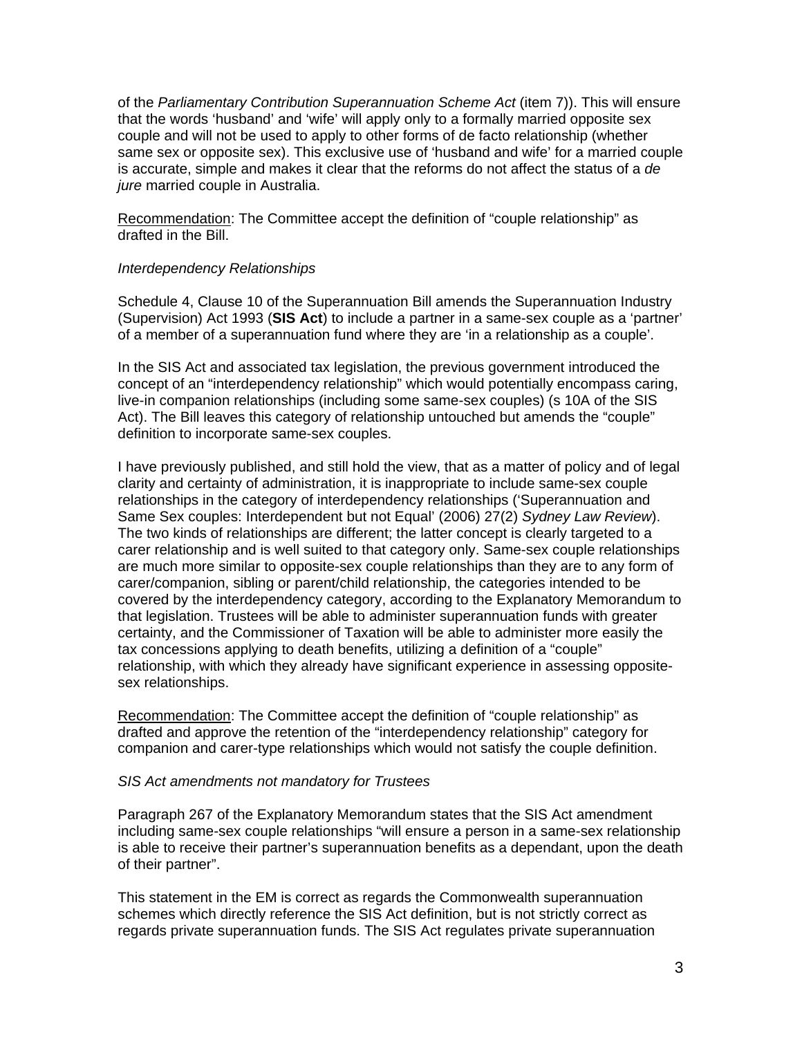of the *Parliamentary Contribution Superannuation Scheme Act* (item 7)). This will ensure that the words 'husband' and 'wife' will apply only to a formally married opposite sex couple and will not be used to apply to other forms of de facto relationship (whether same sex or opposite sex). This exclusive use of 'husband and wife' for a married couple is accurate, simple and makes it clear that the reforms do not affect the status of a *de jure* married couple in Australia.

Recommendation: The Committee accept the definition of "couple relationship" as drafted in the Bill.

### *Interdependency Relationships*

Schedule 4, Clause 10 of the Superannuation Bill amends the Superannuation Industry (Supervision) Act 1993 (**SIS Act**) to include a partner in a same-sex couple as a 'partner' of a member of a superannuation fund where they are 'in a relationship as a couple'.

In the SIS Act and associated tax legislation, the previous government introduced the concept of an "interdependency relationship" which would potentially encompass caring, live-in companion relationships (including some same-sex couples) (s 10A of the SIS Act). The Bill leaves this category of relationship untouched but amends the "couple" definition to incorporate same-sex couples.

I have previously published, and still hold the view, that as a matter of policy and of legal clarity and certainty of administration, it is inappropriate to include same-sex couple relationships in the category of interdependency relationships ('Superannuation and Same Sex couples: Interdependent but not Equal' (2006) 27(2) *Sydney Law Review*). The two kinds of relationships are different; the latter concept is clearly targeted to a carer relationship and is well suited to that category only. Same-sex couple relationships are much more similar to opposite-sex couple relationships than they are to any form of carer/companion, sibling or parent/child relationship, the categories intended to be covered by the interdependency category, according to the Explanatory Memorandum to that legislation. Trustees will be able to administer superannuation funds with greater certainty, and the Commissioner of Taxation will be able to administer more easily the tax concessions applying to death benefits, utilizing a definition of a "couple" relationship, with which they already have significant experience in assessing oppositesex relationships.

Recommendation: The Committee accept the definition of "couple relationship" as drafted and approve the retention of the "interdependency relationship" category for companion and carer-type relationships which would not satisfy the couple definition.

### *SIS Act amendments not mandatory for Trustees*

Paragraph 267 of the Explanatory Memorandum states that the SIS Act amendment including same-sex couple relationships "will ensure a person in a same-sex relationship is able to receive their partner's superannuation benefits as a dependant, upon the death of their partner".

This statement in the EM is correct as regards the Commonwealth superannuation schemes which directly reference the SIS Act definition, but is not strictly correct as regards private superannuation funds. The SIS Act regulates private superannuation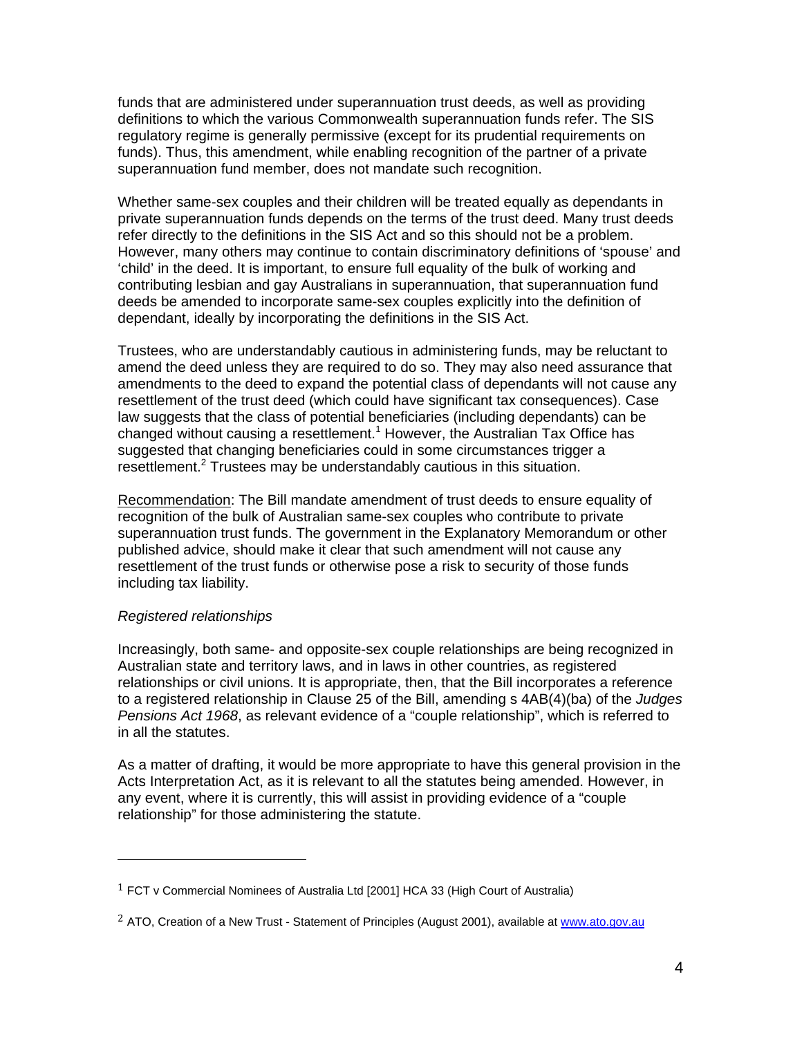funds that are administered under superannuation trust deeds, as well as providing definitions to which the various Commonwealth superannuation funds refer. The SIS regulatory regime is generally permissive (except for its prudential requirements on funds). Thus, this amendment, while enabling recognition of the partner of a private superannuation fund member, does not mandate such recognition.

Whether same-sex couples and their children will be treated equally as dependants in private superannuation funds depends on the terms of the trust deed. Many trust deeds refer directly to the definitions in the SIS Act and so this should not be a problem. However, many others may continue to contain discriminatory definitions of 'spouse' and 'child' in the deed. It is important, to ensure full equality of the bulk of working and contributing lesbian and gay Australians in superannuation, that superannuation fund deeds be amended to incorporate same-sex couples explicitly into the definition of dependant, ideally by incorporating the definitions in the SIS Act.

Trustees, who are understandably cautious in administering funds, may be reluctant to amend the deed unless they are required to do so. They may also need assurance that amendments to the deed to expand the potential class of dependants will not cause any resettlement of the trust deed (which could have significant tax consequences). Case law suggests that the class of potential beneficiaries (including dependants) can be changed without causing a resettlement.<sup>1</sup> However, the Australian Tax Office has suggested that changing beneficiaries could in some circumstances trigger a resettlement.<sup>2</sup> Trustees may be understandably cautious in this situation.

Recommendation: The Bill mandate amendment of trust deeds to ensure equality of recognition of the bulk of Australian same-sex couples who contribute to private superannuation trust funds. The government in the Explanatory Memorandum or other published advice, should make it clear that such amendment will not cause any resettlement of the trust funds or otherwise pose a risk to security of those funds including tax liability.

### *Registered relationships*

Increasingly, both same- and opposite-sex couple relationships are being recognized in Australian state and territory laws, and in laws in other countries, as registered relationships or civil unions. It is appropriate, then, that the Bill incorporates a reference to a registered relationship in Clause 25 of the Bill, amending s 4AB(4)(ba) of the *Judges Pensions Act 1968*, as relevant evidence of a "couple relationship", which is referred to in all the statutes.

As a matter of drafting, it would be more appropriate to have this general provision in the Acts Interpretation Act, as it is relevant to all the statutes being amended. However, in any event, where it is currently, this will assist in providing evidence of a "couple relationship" for those administering the statute.

 $1$  FCT v Commercial Nominees of Australia Ltd [2001] HCA 33 (High Court of Australia)

<sup>&</sup>lt;sup>2</sup> ATO, Creation of a New Trust - Statement of Principles (August 2001), available at www.ato.gov.au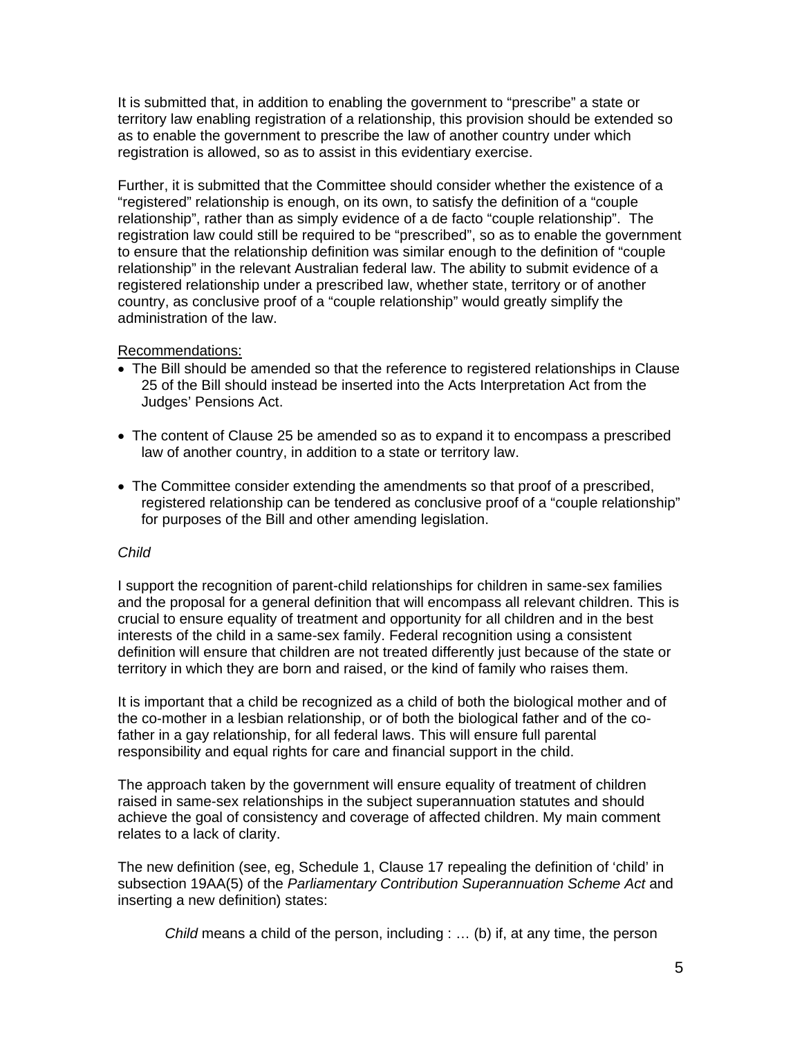It is submitted that, in addition to enabling the government to "prescribe" a state or territory law enabling registration of a relationship, this provision should be extended so as to enable the government to prescribe the law of another country under which registration is allowed, so as to assist in this evidentiary exercise.

Further, it is submitted that the Committee should consider whether the existence of a "registered" relationship is enough, on its own, to satisfy the definition of a "couple relationship", rather than as simply evidence of a de facto "couple relationship". The registration law could still be required to be "prescribed", so as to enable the government to ensure that the relationship definition was similar enough to the definition of "couple relationship" in the relevant Australian federal law. The ability to submit evidence of a registered relationship under a prescribed law, whether state, territory or of another country, as conclusive proof of a "couple relationship" would greatly simplify the administration of the law.

# Recommendations:

- The Bill should be amended so that the reference to registered relationships in Clause 25 of the Bill should instead be inserted into the Acts Interpretation Act from the Judges' Pensions Act.
- The content of Clause 25 be amended so as to expand it to encompass a prescribed law of another country, in addition to a state or territory law.
- The Committee consider extending the amendments so that proof of a prescribed, registered relationship can be tendered as conclusive proof of a "couple relationship" for purposes of the Bill and other amending legislation.

### *Child*

I support the recognition of parent-child relationships for children in same-sex families and the proposal for a general definition that will encompass all relevant children. This is crucial to ensure equality of treatment and opportunity for all children and in the best interests of the child in a same-sex family. Federal recognition using a consistent definition will ensure that children are not treated differently just because of the state or territory in which they are born and raised, or the kind of family who raises them.

It is important that a child be recognized as a child of both the biological mother and of the co-mother in a lesbian relationship, or of both the biological father and of the cofather in a gay relationship, for all federal laws. This will ensure full parental responsibility and equal rights for care and financial support in the child.

The approach taken by the government will ensure equality of treatment of children raised in same-sex relationships in the subject superannuation statutes and should achieve the goal of consistency and coverage of affected children. My main comment relates to a lack of clarity.

The new definition (see, eg, Schedule 1, Clause 17 repealing the definition of 'child' in subsection 19AA(5) of the *Parliamentary Contribution Superannuation Scheme Act* and inserting a new definition) states:

*Child* means a child of the person, including : … (b) if, at any time, the person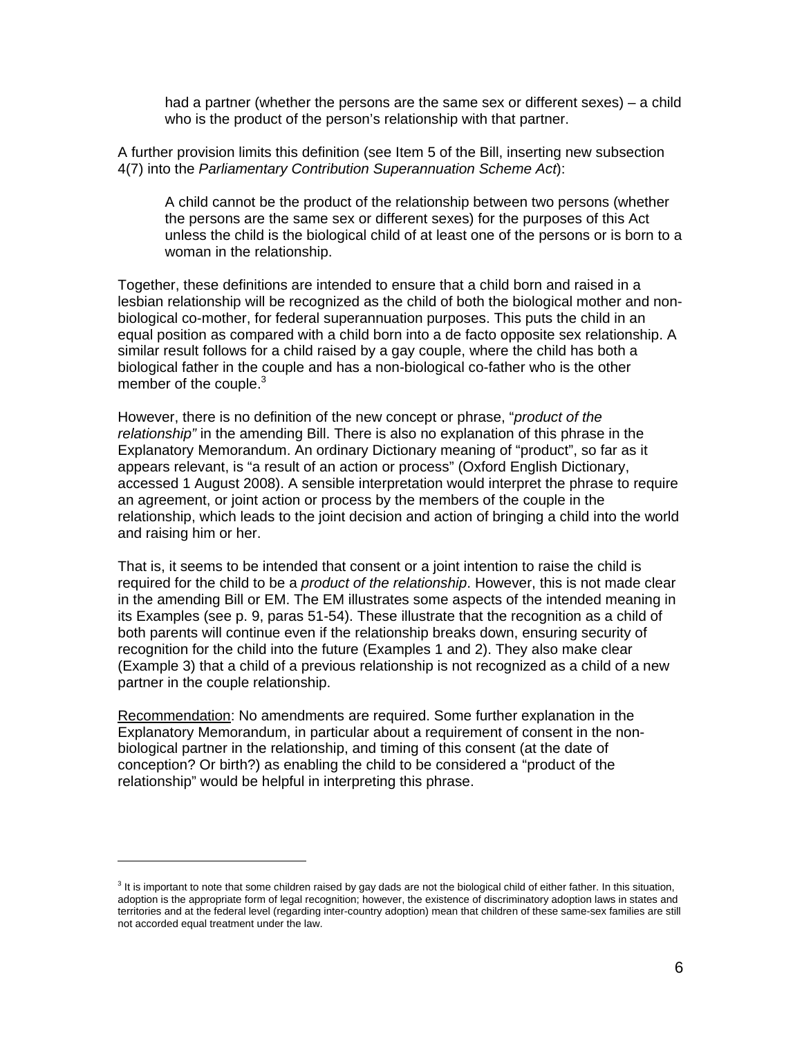had a partner (whether the persons are the same sex or different sexes) – a child who is the product of the person's relationship with that partner.

A further provision limits this definition (see Item 5 of the Bill, inserting new subsection 4(7) into the *Parliamentary Contribution Superannuation Scheme Act*):

A child cannot be the product of the relationship between two persons (whether the persons are the same sex or different sexes) for the purposes of this Act unless the child is the biological child of at least one of the persons or is born to a woman in the relationship.

Together, these definitions are intended to ensure that a child born and raised in a lesbian relationship will be recognized as the child of both the biological mother and nonbiological co-mother, for federal superannuation purposes. This puts the child in an equal position as compared with a child born into a de facto opposite sex relationship. A similar result follows for a child raised by a gay couple, where the child has both a biological father in the couple and has a non-biological co-father who is the other member of the couple.<sup>3</sup>

However, there is no definition of the new concept or phrase, "*product of the relationship"* in the amending Bill. There is also no explanation of this phrase in the Explanatory Memorandum. An ordinary Dictionary meaning of "product", so far as it appears relevant, is "a result of an action or process" (Oxford English Dictionary, accessed 1 August 2008). A sensible interpretation would interpret the phrase to require an agreement, or joint action or process by the members of the couple in the relationship, which leads to the joint decision and action of bringing a child into the world and raising him or her.

That is, it seems to be intended that consent or a joint intention to raise the child is required for the child to be a *product of the relationship*. However, this is not made clear in the amending Bill or EM. The EM illustrates some aspects of the intended meaning in its Examples (see p. 9, paras 51-54). These illustrate that the recognition as a child of both parents will continue even if the relationship breaks down, ensuring security of recognition for the child into the future (Examples 1 and 2). They also make clear (Example 3) that a child of a previous relationship is not recognized as a child of a new partner in the couple relationship.

Recommendation: No amendments are required. Some further explanation in the Explanatory Memorandum, in particular about a requirement of consent in the nonbiological partner in the relationship, and timing of this consent (at the date of conception? Or birth?) as enabling the child to be considered a "product of the relationship" would be helpful in interpreting this phrase.

 $3$  It is important to note that some children raised by gay dads are not the biological child of either father. In this situation, adoption is the appropriate form of legal recognition; however, the existence of discriminatory adoption laws in states and territories and at the federal level (regarding inter-country adoption) mean that children of these same-sex families are still not accorded equal treatment under the law.